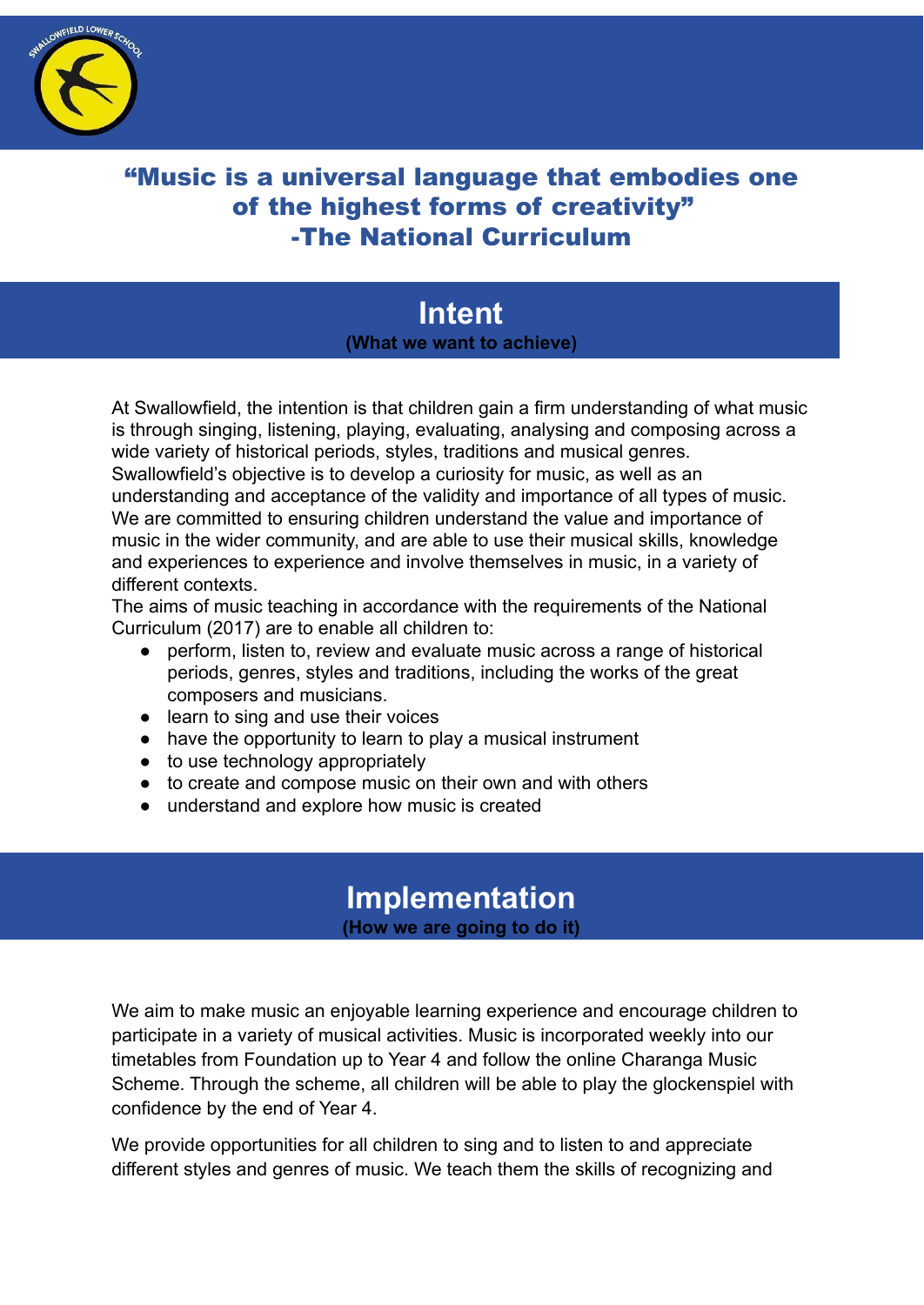

## "Music is a universal language that embodies one of the highest forms of creativity" -The National Curriculum

## **Intent (What we want to achieve)**

At Swallowfield, the intention is that children gain a firm understanding of what music is through singing, listening, playing, evaluating, analysing and composing across a wide variety of historical periods, styles, traditions and musical genres.

Swallowfield's objective is to develop a curiosity for music, as well as an understanding and acceptance of the validity and importance of all types of music. We are committed to ensuring children understand the value and importance of music in the wider community, and are able to use their musical skills, knowledge and experiences to experience and involve themselves in music, in a variety of different contexts.

The aims of music teaching in accordance with the requirements of the National Curriculum (2017) are to enable all children to:

- perform, listen to, review and evaluate music across a range of historical periods, genres, styles and traditions, including the works of the great composers and musicians.
- learn to sing and use their voices
- have the opportunity to learn to play a musical instrument
- to use technology appropriately
- to create and compose music on their own and with others
- understand and explore how music is created

## **Implementation (How we are going to do it)**

We aim to make music an enjoyable learning experience and encourage children to participate in a variety of musical activities. Music is incorporated weekly into our timetables from Foundation up to Year 4 and follow the online Charanga Music Scheme. Through the scheme, all children will be able to play the glockenspiel with confidence by the end of Year 4.

We provide opportunities for all children to sing and to listen to and appreciate different styles and genres of music. We teach them the skills of recognizing and